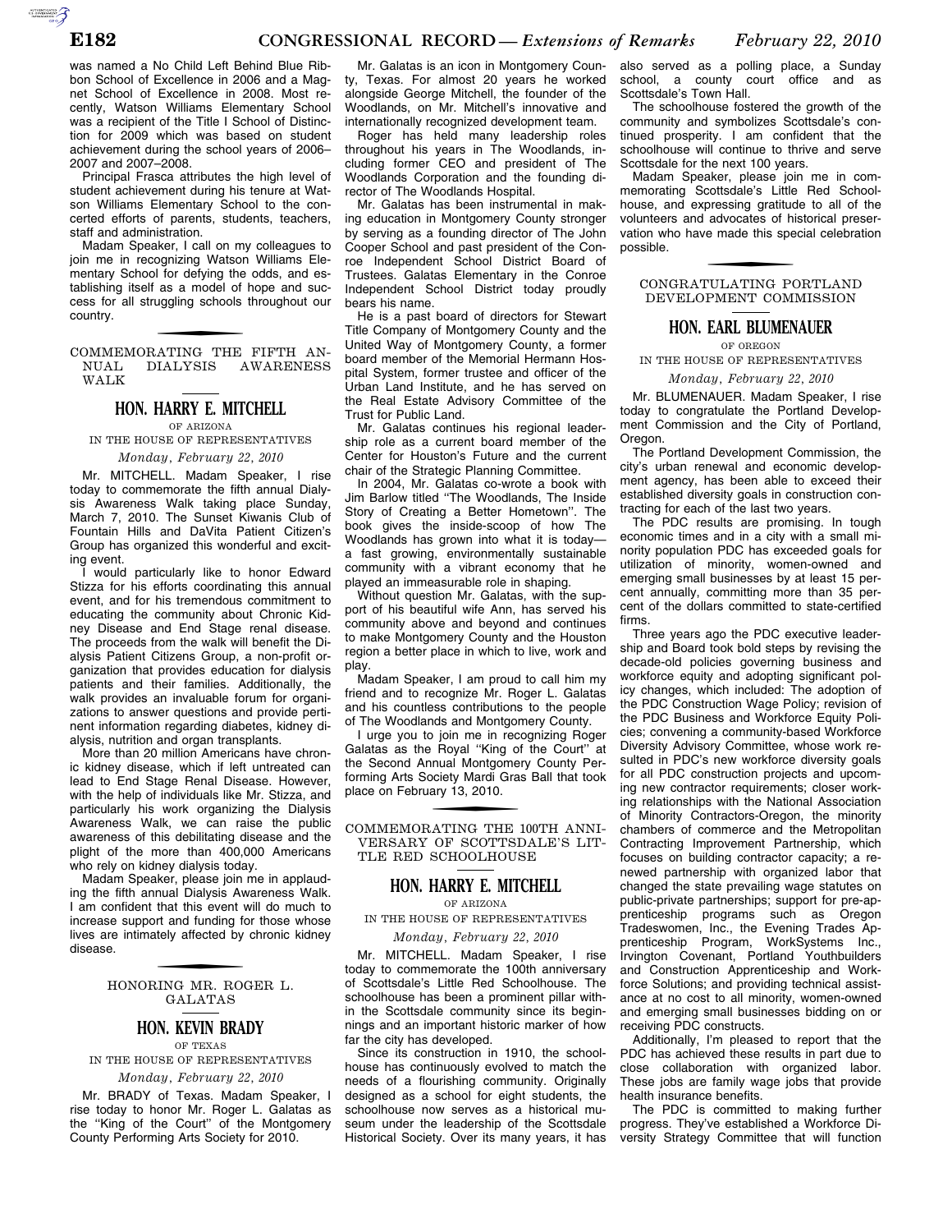was named a No Child Left Behind Blue Ribbon School of Excellence in 2006 and a Magnet School of Excellence in 2008. Most recently, Watson Williams Elementary School was a recipient of the Title I School of Distinction for 2009 which was based on student achievement during the school years of 2006– 2007 and 2007–2008.

Principal Frasca attributes the high level of student achievement during his tenure at Watson Williams Elementary School to the concerted efforts of parents, students, teachers, staff and administration.

Madam Speaker, I call on my colleagues to join me in recognizing Watson Williams Elementary School for defying the odds, and establishing itself as a model of hope and success for all struggling schools throughout our country.

COMMEMORATING THE FIFTH AN-NUAL DIALYSIS AWARENESS WALK

# **HON. HARRY E. MITCHELL**

OF ARIZONA

IN THE HOUSE OF REPRESENTATIVES *Monday, February 22, 2010* 

Mr. MITCHELL. Madam Speaker, I rise today to commemorate the fifth annual Dialysis Awareness Walk taking place Sunday, March 7, 2010. The Sunset Kiwanis Club of Fountain Hills and DaVita Patient Citizen's Group has organized this wonderful and exciting event.

I would particularly like to honor Edward Stizza for his efforts coordinating this annual event, and for his tremendous commitment to educating the community about Chronic Kidney Disease and End Stage renal disease. The proceeds from the walk will benefit the Dialysis Patient Citizens Group, a non-profit organization that provides education for dialysis patients and their families. Additionally, the walk provides an invaluable forum for organizations to answer questions and provide pertinent information regarding diabetes, kidney dialysis, nutrition and organ transplants.

More than 20 million Americans have chronic kidney disease, which if left untreated can lead to End Stage Renal Disease. However, with the help of individuals like Mr. Stizza, and particularly his work organizing the Dialysis Awareness Walk, we can raise the public awareness of this debilitating disease and the plight of the more than 400,000 Americans who rely on kidney dialysis today.

Madam Speaker, please join me in applauding the fifth annual Dialysis Awareness Walk. I am confident that this event will do much to increase support and funding for those whose lives are intimately affected by chronic kidney disease.

> f HONORING MR. ROGER L. GALATAS

#### **HON. KEVIN BRADY** OF TEXAS

IN THE HOUSE OF REPRESENTATIVES *Monday, February 22, 2010* 

Mr. BRADY of Texas. Madam Speaker, I rise today to honor Mr. Roger L. Galatas as the ''King of the Court'' of the Montgomery County Performing Arts Society for 2010.

Mr. Galatas is an icon in Montgomery County, Texas. For almost 20 years he worked alongside George Mitchell, the founder of the Woodlands, on Mr. Mitchell's innovative and internationally recognized development team.

Roger has held many leadership roles throughout his years in The Woodlands, including former CEO and president of The Woodlands Corporation and the founding director of The Woodlands Hospital.

Mr. Galatas has been instrumental in making education in Montgomery County stronger by serving as a founding director of The John Cooper School and past president of the Conroe Independent School District Board of Trustees. Galatas Elementary in the Conroe Independent School District today proudly bears his name.

He is a past board of directors for Stewart Title Company of Montgomery County and the United Way of Montgomery County, a former board member of the Memorial Hermann Hospital System, former trustee and officer of the Urban Land Institute, and he has served on the Real Estate Advisory Committee of the Trust for Public Land.

Mr. Galatas continues his regional leadership role as a current board member of the Center for Houston's Future and the current chair of the Strategic Planning Committee.

In 2004, Mr. Galatas co-wrote a book with Jim Barlow titled ''The Woodlands, The Inside Story of Creating a Better Hometown''. The book gives the inside-scoop of how The Woodlands has grown into what it is today a fast growing, environmentally sustainable community with a vibrant economy that he played an immeasurable role in shaping.

Without question Mr. Galatas, with the support of his beautiful wife Ann, has served his community above and beyond and continues to make Montgomery County and the Houston region a better place in which to live, work and play.

Madam Speaker, I am proud to call him my friend and to recognize Mr. Roger L. Galatas and his countless contributions to the people of The Woodlands and Montgomery County.

I urge you to join me in recognizing Roger Galatas as the Royal ''King of the Court'' at the Second Annual Montgomery County Performing Arts Society Mardi Gras Ball that took place on February 13, 2010.

COMMEMORATING THE 100TH ANNI-VERSARY OF SCOTTSDALE'S LIT-TLE RED SCHOOLHOUSE

### **HON. HARRY E. MITCHELL**

OF ARIZONA

IN THE HOUSE OF REPRESENTATIVES

#### *Monday, February 22, 2010*

Mr. MITCHELL. Madam Speaker, I rise today to commemorate the 100th anniversary of Scottsdale's Little Red Schoolhouse. The schoolhouse has been a prominent pillar within the Scottsdale community since its beginnings and an important historic marker of how far the city has developed.

Since its construction in 1910, the schoolhouse has continuously evolved to match the needs of a flourishing community. Originally designed as a school for eight students, the schoolhouse now serves as a historical museum under the leadership of the Scottsdale Historical Society. Over its many years, it has

also served as a polling place, a Sunday school, a county court office and as Scottsdale's Town Hall.

The schoolhouse fostered the growth of the community and symbolizes Scottsdale's continued prosperity. I am confident that the schoolhouse will continue to thrive and serve Scottsdale for the next 100 years.

Madam Speaker, please join me in commemorating Scottsdale's Little Red Schoolhouse, and expressing gratitude to all of the volunteers and advocates of historical preservation who have made this special celebration possible.

## CONGRATULATING PORTLAND DEVELOPMENT COMMISSION

### **HON. EARL BLUMENAUER**

OF OREGON

IN THE HOUSE OF REPRESENTATIVES *Monday, February 22, 2010* 

Mr. BLUMENAUER. Madam Speaker, I rise today to congratulate the Portland Development Commission and the City of Portland, Oregon.

The Portland Development Commission, the city's urban renewal and economic development agency, has been able to exceed their established diversity goals in construction contracting for each of the last two years.

The PDC results are promising. In tough economic times and in a city with a small minority population PDC has exceeded goals for utilization of minority, women-owned and emerging small businesses by at least 15 percent annually, committing more than 35 percent of the dollars committed to state-certified firms.

Three years ago the PDC executive leadership and Board took bold steps by revising the decade-old policies governing business and workforce equity and adopting significant policy changes, which included: The adoption of the PDC Construction Wage Policy; revision of the PDC Business and Workforce Equity Policies; convening a community-based Workforce Diversity Advisory Committee, whose work resulted in PDC's new workforce diversity goals for all PDC construction projects and upcoming new contractor requirements; closer working relationships with the National Association of Minority Contractors-Oregon, the minority chambers of commerce and the Metropolitan Contracting Improvement Partnership, which focuses on building contractor capacity; a renewed partnership with organized labor that changed the state prevailing wage statutes on public-private partnerships; support for pre-apprenticeship programs such as Oregon Tradeswomen, Inc., the Evening Trades Apprenticeship Program, WorkSystems Inc., Irvington Covenant, Portland Youthbuilders and Construction Apprenticeship and Workforce Solutions; and providing technical assistance at no cost to all minority, women-owned and emerging small businesses bidding on or receiving PDC constructs.

Additionally, I'm pleased to report that the PDC has achieved these results in part due to close collaboration with organized labor. These jobs are family wage jobs that provide health insurance benefits.

The PDC is committed to making further progress. They've established a Workforce Diversity Strategy Committee that will function